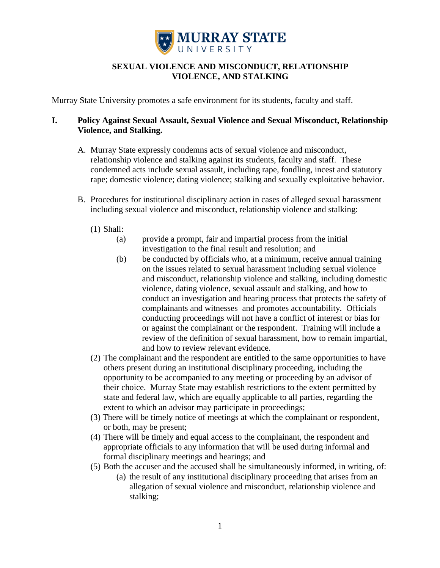

# **SEXUAL VIOLENCE AND MISCONDUCT, RELATIONSHIP VIOLENCE, AND STALKING**

Murray State University promotes a safe environment for its students, faculty and staff.

### **I. Policy Against Sexual Assault, Sexual Violence and Sexual Misconduct, Relationship Violence, and Stalking.**

- A. Murray State expressly condemns acts of sexual violence and misconduct, relationship violence and stalking against its students, faculty and staff. These condemned acts include sexual assault, including rape, fondling, incest and statutory rape; domestic violence; dating violence; stalking and sexually exploitative behavior.
- B. Procedures for institutional disciplinary action in cases of alleged sexual harassment including sexual violence and misconduct, relationship violence and stalking:
	- (1) Shall:
		- (a) provide a prompt, fair and impartial process from the initial investigation to the final result and resolution; and
		- (b) be conducted by officials who, at a minimum, receive annual training on the issues related to sexual harassment including sexual violence and misconduct, relationship violence and stalking, including domestic violence, dating violence, sexual assault and stalking, and how to conduct an investigation and hearing process that protects the safety of complainants and witnesses and promotes accountability. Officials conducting proceedings will not have a conflict of interest or bias for or against the complainant or the respondent. Training will include a review of the definition of sexual harassment, how to remain impartial, and how to review relevant evidence.
	- (2) The complainant and the respondent are entitled to the same opportunities to have others present during an institutional disciplinary proceeding, including the opportunity to be accompanied to any meeting or proceeding by an advisor of their choice. Murray State may establish restrictions to the extent permitted by state and federal law, which are equally applicable to all parties, regarding the extent to which an advisor may participate in proceedings;
	- (3) There will be timely notice of meetings at which the complainant or respondent, or both, may be present;
	- (4) There will be timely and equal access to the complainant, the respondent and appropriate officials to any information that will be used during informal and formal disciplinary meetings and hearings; and
	- (5) Both the accuser and the accused shall be simultaneously informed, in writing, of:
		- (a) the result of any institutional disciplinary proceeding that arises from an allegation of sexual violence and misconduct, relationship violence and stalking;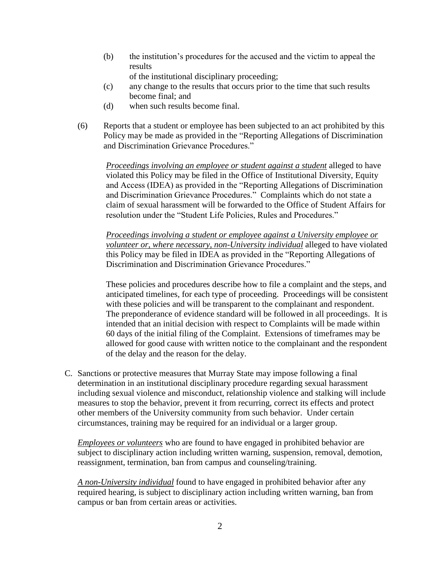(b) the institution's procedures for the accused and the victim to appeal the results

of the institutional disciplinary proceeding;

- (c) any change to the results that occurs prior to the time that such results become final; and
- (d) when such results become final.
- (6) Reports that a student or employee has been subjected to an act prohibited by this Policy may be made as provided in the "Reporting Allegations of Discrimination and Discrimination Grievance Procedures."

*Proceedings involving an employee or student against a student* alleged to have violated this Policy may be filed in the Office of Institutional Diversity, Equity and Access (IDEA) as provided in the "Reporting Allegations of Discrimination and Discrimination Grievance Procedures." Complaints which do not state a claim of sexual harassment will be forwarded to the Office of Student Affairs for resolution under the "Student Life Policies, Rules and Procedures."

*Proceedings involving a student or employee against a University employee or volunteer or, where necessary, non-University individual* alleged to have violated this Policy may be filed in IDEA as provided in the "Reporting Allegations of Discrimination and Discrimination Grievance Procedures."

These policies and procedures describe how to file a complaint and the steps, and anticipated timelines, for each type of proceeding. Proceedings will be consistent with these policies and will be transparent to the complainant and respondent. The preponderance of evidence standard will be followed in all proceedings. It is intended that an initial decision with respect to Complaints will be made within 60 days of the initial filing of the Complaint. Extensions of timeframes may be allowed for good cause with written notice to the complainant and the respondent of the delay and the reason for the delay.

C. Sanctions or protective measures that Murray State may impose following a final determination in an institutional disciplinary procedure regarding sexual harassment including sexual violence and misconduct, relationship violence and stalking will include measures to stop the behavior, prevent it from recurring, correct its effects and protect other members of the University community from such behavior. Under certain circumstances, training may be required for an individual or a larger group.

*Employees or volunteers* who are found to have engaged in prohibited behavior are subject to disciplinary action including written warning, suspension, removal, demotion, reassignment, termination, ban from campus and counseling/training.

*A non-University individual* found to have engaged in prohibited behavior after any required hearing, is subject to disciplinary action including written warning, ban from campus or ban from certain areas or activities.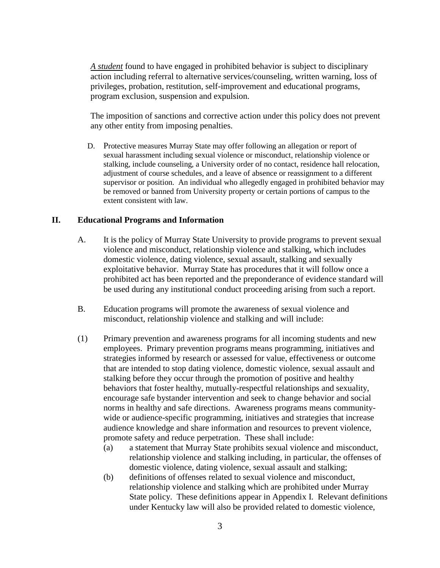*A student* found to have engaged in prohibited behavior is subject to disciplinary action including referral to alternative services/counseling, written warning, loss of privileges, probation, restitution, self-improvement and educational programs, program exclusion, suspension and expulsion.

The imposition of sanctions and corrective action under this policy does not prevent any other entity from imposing penalties.

D. Protective measures Murray State may offer following an allegation or report of sexual harassment including sexual violence or misconduct, relationship violence or stalking, include counseling, a University order of no contact, residence hall relocation, adjustment of course schedules, and a leave of absence or reassignment to a different supervisor or position. An individual who allegedly engaged in prohibited behavior may be removed or banned from University property or certain portions of campus to the extent consistent with law.

#### **II. Educational Programs and Information**

- A. It is the policy of Murray State University to provide programs to prevent sexual violence and misconduct, relationship violence and stalking, which includes domestic violence, dating violence, sexual assault, stalking and sexually exploitative behavior. Murray State has procedures that it will follow once a prohibited act has been reported and the preponderance of evidence standard will be used during any institutional conduct proceeding arising from such a report.
- B. Education programs will promote the awareness of sexual violence and misconduct, relationship violence and stalking and will include:
- (1) Primary prevention and awareness programs for all incoming students and new employees. Primary prevention programs means programming, initiatives and strategies informed by research or assessed for value, effectiveness or outcome that are intended to stop dating violence, domestic violence, sexual assault and stalking before they occur through the promotion of positive and healthy behaviors that foster healthy, mutually-respectful relationships and sexuality, encourage safe bystander intervention and seek to change behavior and social norms in healthy and safe directions. Awareness programs means communitywide or audience-specific programming, initiatives and strategies that increase audience knowledge and share information and resources to prevent violence, promote safety and reduce perpetration. These shall include:
	- (a) a statement that Murray State prohibits sexual violence and misconduct, relationship violence and stalking including, in particular, the offenses of domestic violence, dating violence, sexual assault and stalking;
	- (b) definitions of offenses related to sexual violence and misconduct, relationship violence and stalking which are prohibited under Murray State policy. These definitions appear in Appendix I. Relevant definitions under Kentucky law will also be provided related to domestic violence,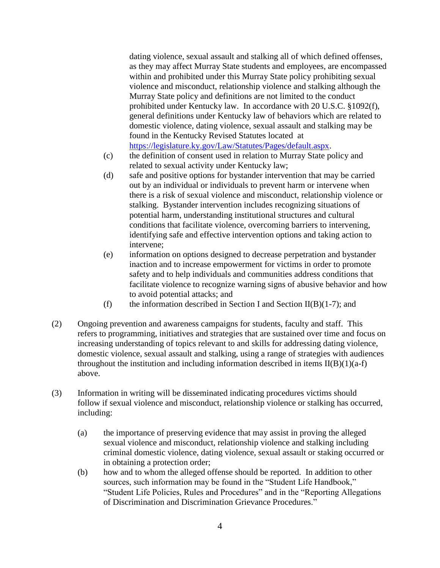dating violence, sexual assault and stalking all of which defined offenses, as they may affect Murray State students and employees, are encompassed within and prohibited under this Murray State policy prohibiting sexual violence and misconduct, relationship violence and stalking although the Murray State policy and definitions are not limited to the conduct prohibited under Kentucky law. In accordance with 20 U.S.C. §1092(f), general definitions under Kentucky law of behaviors which are related to domestic violence, dating violence, sexual assault and stalking may be found in the Kentucky Revised Statutes located at [https://legislature.ky.gov/Law/Statutes/Pages/default.aspx.](https://legislature.ky.gov/Law/Statutes/Pages/default.aspx)

- (c) the definition of consent used in relation to Murray State policy and related to sexual activity under Kentucky law;
- (d) safe and positive options for bystander intervention that may be carried out by an individual or individuals to prevent harm or intervene when there is a risk of sexual violence and misconduct, relationship violence or stalking. Bystander intervention includes recognizing situations of potential harm, understanding institutional structures and cultural conditions that facilitate violence, overcoming barriers to intervening, identifying safe and effective intervention options and taking action to intervene;
- (e) information on options designed to decrease perpetration and bystander inaction and to increase empowerment for victims in order to promote safety and to help individuals and communities address conditions that facilitate violence to recognize warning signs of abusive behavior and how to avoid potential attacks; and
- (f) the information described in Section I and Section II(B)(1-7); and
- (2) Ongoing prevention and awareness campaigns for students, faculty and staff. This refers to programming, initiatives and strategies that are sustained over time and focus on increasing understanding of topics relevant to and skills for addressing dating violence, domestic violence, sexual assault and stalking, using a range of strategies with audiences throughout the institution and including information described in items  $II(B)(1)(a-f)$ above.
- (3) Information in writing will be disseminated indicating procedures victims should follow if sexual violence and misconduct, relationship violence or stalking has occurred, including:
	- (a) the importance of preserving evidence that may assist in proving the alleged sexual violence and misconduct, relationship violence and stalking including criminal domestic violence, dating violence, sexual assault or staking occurred or in obtaining a protection order;
	- (b) how and to whom the alleged offense should be reported. In addition to other sources, such information may be found in the "Student Life Handbook," "Student Life Policies, Rules and Procedures" and in the "Reporting Allegations of Discrimination and Discrimination Grievance Procedures."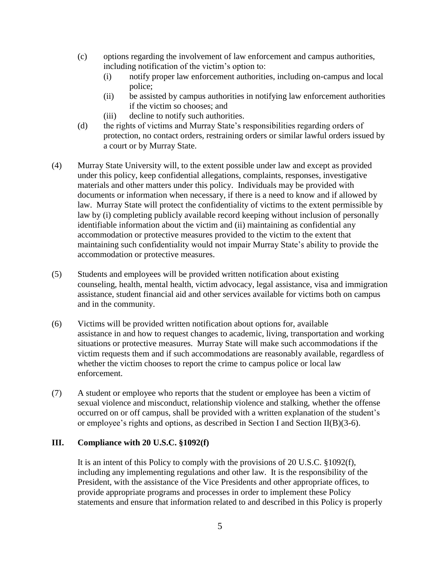- (c) options regarding the involvement of law enforcement and campus authorities, including notification of the victim's option to:
	- (i) notify proper law enforcement authorities, including on-campus and local police;
	- (ii) be assisted by campus authorities in notifying law enforcement authorities if the victim so chooses; and
	- (iii) decline to notify such authorities.
- (d) the rights of victims and Murray State's responsibilities regarding orders of protection, no contact orders, restraining orders or similar lawful orders issued by a court or by Murray State.
- (4) Murray State University will, to the extent possible under law and except as provided under this policy, keep confidential allegations, complaints, responses, investigative materials and other matters under this policy. Individuals may be provided with documents or information when necessary, if there is a need to know and if allowed by law. Murray State will protect the confidentiality of victims to the extent permissible by law by (i) completing publicly available record keeping without inclusion of personally identifiable information about the victim and (ii) maintaining as confidential any accommodation or protective measures provided to the victim to the extent that maintaining such confidentiality would not impair Murray State's ability to provide the accommodation or protective measures.
- (5) Students and employees will be provided written notification about existing counseling, health, mental health, victim advocacy, legal assistance, visa and immigration assistance, student financial aid and other services available for victims both on campus and in the community.
- (6) Victims will be provided written notification about options for, available assistance in and how to request changes to academic, living, transportation and working situations or protective measures. Murray State will make such accommodations if the victim requests them and if such accommodations are reasonably available, regardless of whether the victim chooses to report the crime to campus police or local law enforcement.
- (7) A student or employee who reports that the student or employee has been a victim of sexual violence and misconduct, relationship violence and stalking, whether the offense occurred on or off campus, shall be provided with a written explanation of the student's or employee's rights and options, as described in Section I and Section II(B)(3-6).

### **III. Compliance with 20 U.S.C. §1092(f)**

It is an intent of this Policy to comply with the provisions of 20 U.S.C. §1092(f), including any implementing regulations and other law. It is the responsibility of the President, with the assistance of the Vice Presidents and other appropriate offices, to provide appropriate programs and processes in order to implement these Policy statements and ensure that information related to and described in this Policy is properly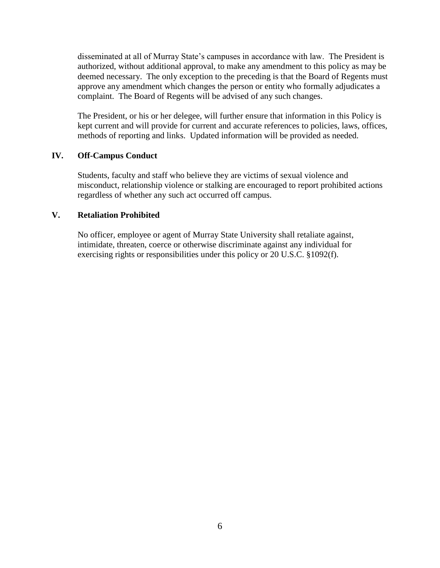disseminated at all of Murray State's campuses in accordance with law. The President is authorized, without additional approval, to make any amendment to this policy as may be deemed necessary. The only exception to the preceding is that the Board of Regents must approve any amendment which changes the person or entity who formally adjudicates a complaint. The Board of Regents will be advised of any such changes.

The President, or his or her delegee, will further ensure that information in this Policy is kept current and will provide for current and accurate references to policies, laws, offices, methods of reporting and links. Updated information will be provided as needed.

### **IV. Off-Campus Conduct**

Students, faculty and staff who believe they are victims of sexual violence and misconduct, relationship violence or stalking are encouraged to report prohibited actions regardless of whether any such act occurred off campus.

### **V. Retaliation Prohibited**

No officer, employee or agent of Murray State University shall retaliate against, intimidate, threaten, coerce or otherwise discriminate against any individual for exercising rights or responsibilities under this policy or 20 U.S.C. §1092(f).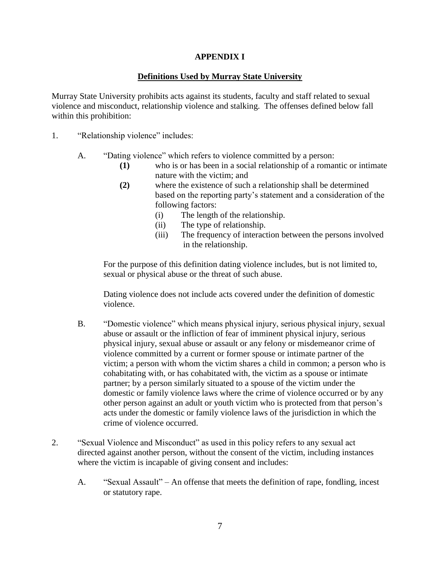## **APPENDIX I**

## **Definitions Used by Murray State University**

Murray State University prohibits acts against its students, faculty and staff related to sexual violence and misconduct, relationship violence and stalking. The offenses defined below fall within this prohibition:

- 1. "Relationship violence" includes:
	- A. "Dating violence" which refers to violence committed by a person:
		- **(1)** who is or has been in a social relationship of a romantic or intimate nature with the victim; and
		- **(2)** where the existence of such a relationship shall be determined based on the reporting party's statement and a consideration of the following factors:
			- (i) The length of the relationship.
			- (ii) The type of relationship.
			- (iii) The frequency of interaction between the persons involved in the relationship.

For the purpose of this definition dating violence includes, but is not limited to, sexual or physical abuse or the threat of such abuse.

Dating violence does not include acts covered under the definition of domestic violence.

- B. "Domestic violence" which means physical injury, serious physical injury, sexual abuse or assault or the infliction of fear of imminent physical injury, serious physical injury, sexual abuse or assault or any felony or misdemeanor crime of violence committed by a current or former spouse or intimate partner of the victim; a person with whom the victim shares a child in common; a person who is cohabitating with, or has cohabitated with, the victim as a spouse or intimate partner; by a person similarly situated to a spouse of the victim under the domestic or family violence laws where the crime of violence occurred or by any other person against an adult or youth victim who is protected from that person's acts under the domestic or family violence laws of the jurisdiction in which the crime of violence occurred.
- 2. "Sexual Violence and Misconduct" as used in this policy refers to any sexual act directed against another person, without the consent of the victim, including instances where the victim is incapable of giving consent and includes:
	- A. "Sexual Assault" An offense that meets the definition of rape, fondling, incest or statutory rape.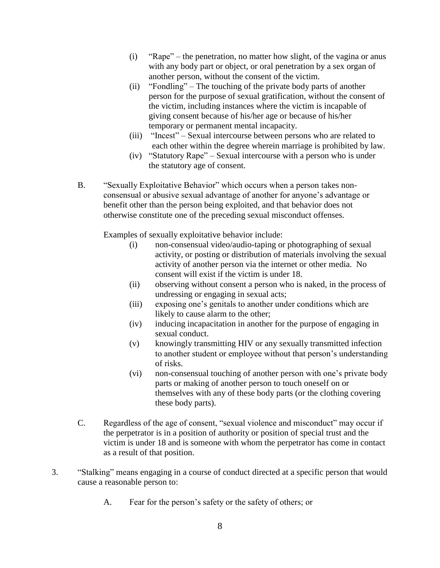- (i) "Rape" the penetration, no matter how slight, of the vagina or anus with any body part or object, or oral penetration by a sex organ of another person, without the consent of the victim.
- (ii) "Fondling" The touching of the private body parts of another person for the purpose of sexual gratification, without the consent of the victim, including instances where the victim is incapable of giving consent because of his/her age or because of his/her temporary or permanent mental incapacity.
- (iii) "Incest" Sexual intercourse between persons who are related to each other within the degree wherein marriage is prohibited by law.
- (iv) "Statutory Rape" Sexual intercourse with a person who is under the statutory age of consent.
- B. "Sexually Exploitative Behavior" which occurs when a person takes nonconsensual or abusive sexual advantage of another for anyone's advantage or benefit other than the person being exploited, and that behavior does not otherwise constitute one of the preceding sexual misconduct offenses.

Examples of sexually exploitative behavior include:

- (i) non-consensual video/audio-taping or photographing of sexual activity, or posting or distribution of materials involving the sexual activity of another person via the internet or other media. No consent will exist if the victim is under 18.
- (ii) observing without consent a person who is naked, in the process of undressing or engaging in sexual acts;
- (iii) exposing one's genitals to another under conditions which are likely to cause alarm to the other;
- (iv) inducing incapacitation in another for the purpose of engaging in sexual conduct.
- (v) knowingly transmitting HIV or any sexually transmitted infection to another student or employee without that person's understanding of risks.
- (vi) non-consensual touching of another person with one's private body parts or making of another person to touch oneself on or themselves with any of these body parts (or the clothing covering these body parts).
- C. Regardless of the age of consent, "sexual violence and misconduct" may occur if the perpetrator is in a position of authority or position of special trust and the victim is under 18 and is someone with whom the perpetrator has come in contact as a result of that position.
- 3. "Stalking" means engaging in a course of conduct directed at a specific person that would cause a reasonable person to:
	- A. Fear for the person's safety or the safety of others; or